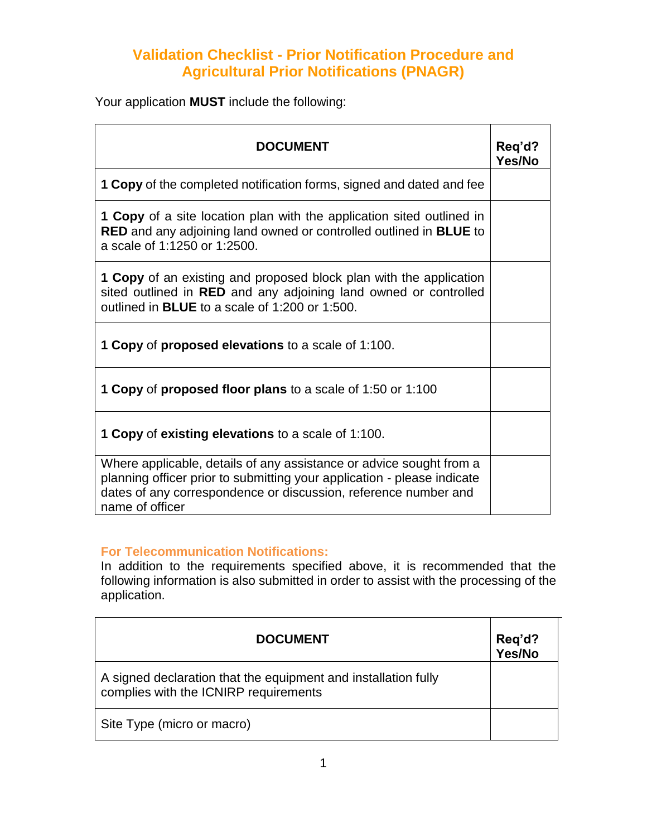## **Validation Checklist - Prior Notification Procedure and Agricultural Prior Notifications (PNAGR)**

Your application **MUST** include the following:

| <b>DOCUMENT</b>                                                                                                                                                                                                                      | Req'd?<br>Yes/No |
|--------------------------------------------------------------------------------------------------------------------------------------------------------------------------------------------------------------------------------------|------------------|
| <b>1 Copy</b> of the completed notification forms, signed and dated and fee                                                                                                                                                          |                  |
| <b>1 Copy</b> of a site location plan with the application sited outlined in<br><b>RED</b> and any adjoining land owned or controlled outlined in <b>BLUE</b> to<br>a scale of 1:1250 or 1:2500.                                     |                  |
| <b>1 Copy</b> of an existing and proposed block plan with the application<br>sited outlined in RED and any adjoining land owned or controlled<br>outlined in <b>BLUE</b> to a scale of 1:200 or 1:500.                               |                  |
| <b>1 Copy of proposed elevations to a scale of 1:100.</b>                                                                                                                                                                            |                  |
| <b>1 Copy of proposed floor plans to a scale of 1:50 or 1:100</b>                                                                                                                                                                    |                  |
| <b>1 Copy of existing elevations to a scale of 1:100.</b>                                                                                                                                                                            |                  |
| Where applicable, details of any assistance or advice sought from a<br>planning officer prior to submitting your application - please indicate<br>dates of any correspondence or discussion, reference number and<br>name of officer |                  |

## **For Telecommunication Notifications:**

In addition to the requirements specified above, it is recommended that the following information is also submitted in order to assist with the processing of the application.

| <b>DOCUMENT</b>                                                                                         | Req'd?<br>Yes/No |
|---------------------------------------------------------------------------------------------------------|------------------|
| A signed declaration that the equipment and installation fully<br>complies with the ICNIRP requirements |                  |
| Site Type (micro or macro)                                                                              |                  |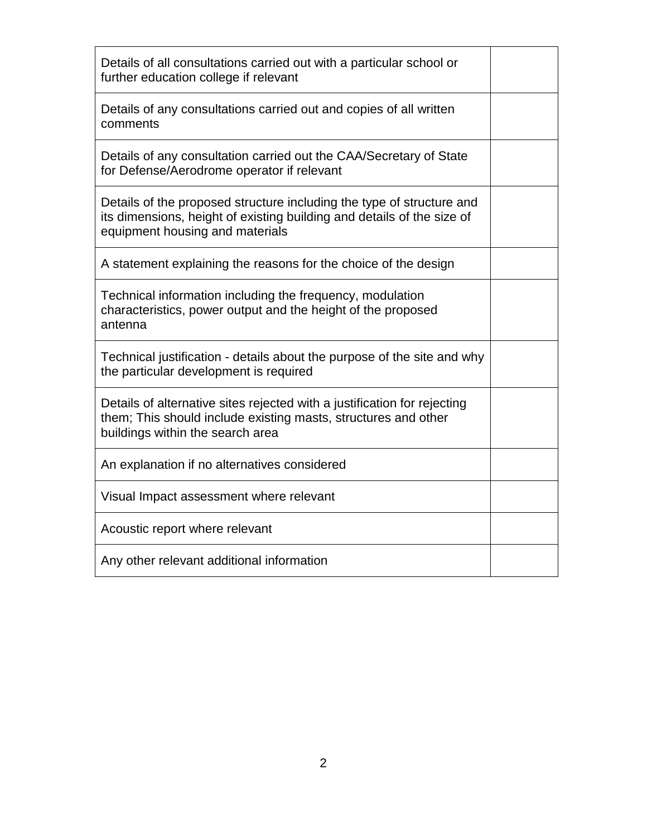| Details of all consultations carried out with a particular school or<br>further education college if relevant                                                                      |  |
|------------------------------------------------------------------------------------------------------------------------------------------------------------------------------------|--|
| Details of any consultations carried out and copies of all written<br>comments                                                                                                     |  |
| Details of any consultation carried out the CAA/Secretary of State<br>for Defense/Aerodrome operator if relevant                                                                   |  |
| Details of the proposed structure including the type of structure and<br>its dimensions, height of existing building and details of the size of<br>equipment housing and materials |  |
| A statement explaining the reasons for the choice of the design                                                                                                                    |  |
| Technical information including the frequency, modulation<br>characteristics, power output and the height of the proposed<br>antenna                                               |  |
| Technical justification - details about the purpose of the site and why<br>the particular development is required                                                                  |  |
| Details of alternative sites rejected with a justification for rejecting<br>them; This should include existing masts, structures and other<br>buildings within the search area     |  |
| An explanation if no alternatives considered                                                                                                                                       |  |
| Visual Impact assessment where relevant                                                                                                                                            |  |
| Acoustic report where relevant                                                                                                                                                     |  |
| Any other relevant additional information                                                                                                                                          |  |